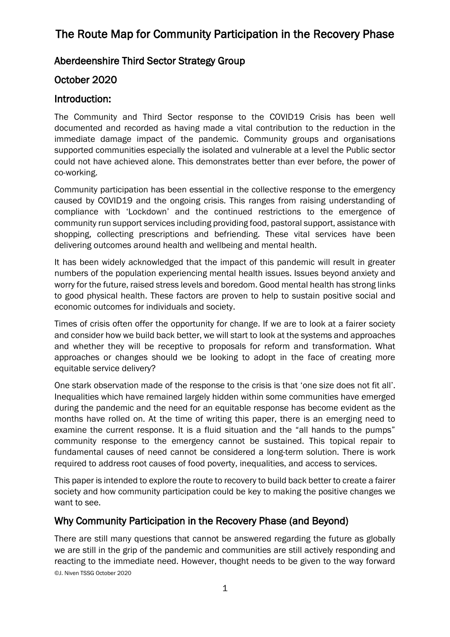### Aberdeenshire Third Sector Strategy Group

### October 2020

#### Introduction:

The Community and Third Sector response to the COVID19 Crisis has been well documented and recorded as having made a vital contribution to the reduction in the immediate damage impact of the pandemic. Community groups and organisations supported communities especially the isolated and vulnerable at a level the Public sector could not have achieved alone. This demonstrates better than ever before, the power of co-working.

Community participation has been essential in the collective response to the emergency caused by COVID19 and the ongoing crisis. This ranges from raising understanding of compliance with 'Lockdown' and the continued restrictions to the emergence of community run support services including providing food, pastoral support, assistance with shopping, collecting prescriptions and befriending. These vital services have been delivering outcomes around health and wellbeing and mental health.

It has been widely acknowledged that the impact of this pandemic will result in greater numbers of the population experiencing mental health issues. Issues beyond anxiety and worry for the future, raised stress levels and boredom. Good mental health has strong links to good physical health. These factors are proven to help to sustain positive social and economic outcomes for individuals and society.

Times of crisis often offer the opportunity for change. If we are to look at a fairer society and consider how we build back better, we will start to look at the systems and approaches and whether they will be receptive to proposals for reform and transformation. What approaches or changes should we be looking to adopt in the face of creating more equitable service delivery?

One stark observation made of the response to the crisis is that 'one size does not fit all'. Inequalities which have remained largely hidden within some communities have emerged during the pandemic and the need for an equitable response has become evident as the months have rolled on. At the time of writing this paper, there is an emerging need to examine the current response. It is a fluid situation and the "all hands to the pumps" community response to the emergency cannot be sustained. This topical repair to fundamental causes of need cannot be considered a long-term solution. There is work required to address root causes of food poverty, inequalities, and access to services.

This paper is intended to explore the route to recovery to build back better to create a fairer society and how community participation could be key to making the positive changes we want to see.

#### Why Community Participation in the Recovery Phase (and Beyond)

©J. Niven TSSG October 2020 There are still many questions that cannot be answered regarding the future as globally we are still in the grip of the pandemic and communities are still actively responding and reacting to the immediate need. However, thought needs to be given to the way forward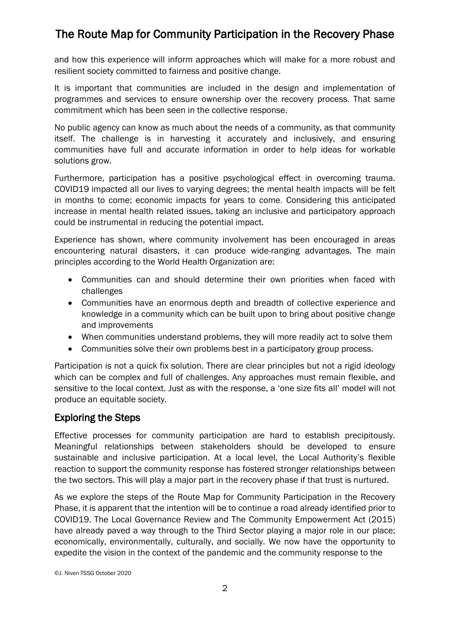and how this experience will inform approaches which will make for a more robust and resilient society committed to fairness and positive change.

It is important that communities are included in the design and implementation of programmes and services to ensure ownership over the recovery process. That same commitment which has been seen in the collective response.

No public agency can know as much about the needs of a community, as that community itself. The challenge is in harvesting it accurately and inclusively, and ensuring communities have full and accurate information in order to help ideas for workable solutions grow.

Furthermore, participation has a positive psychological effect in overcoming trauma. COVID19 impacted all our lives to varying degrees; the mental health impacts will be felt in months to come; economic impacts for years to come. Considering this anticipated increase in mental health related issues, taking an inclusive and participatory approach could be instrumental in reducing the potential impact.

Experience has shown, where community involvement has been encouraged in areas encountering natural disasters, it can produce wide-ranging advantages. The main principles according to the World Health Organization are:

- Communities can and should determine their own priorities when faced with challenges
- Communities have an enormous depth and breadth of collective experience and knowledge in a community which can be built upon to bring about positive change and improvements
- When communities understand problems, they will more readily act to solve them
- Communities solve their own problems best in a participatory group process.

Participation is not a quick fix solution. There are clear principles but not a rigid ideology which can be complex and full of challenges. Any approaches must remain flexible, and sensitive to the local context. Just as with the response, a 'one size fits all' model will not produce an equitable society.

### Exploring the Steps

Effective processes for community participation are hard to establish precipitously. Meaningful relationships between stakeholders should be developed to ensure sustainable and inclusive participation. At a local level, the Local Authority's flexible reaction to support the community response has fostered stronger relationships between the two sectors. This will play a major part in the recovery phase if that trust is nurtured.

As we explore the steps of the Route Map for Community Participation in the Recovery Phase, it is apparent that the intention will be to continue a road already identified prior to COVID19. The Local Governance Review and The Community Empowerment Act (2015) have already paved a way through to the Third Sector playing a major role in our place; economically, environmentally, culturally, and socially. We now have the opportunity to expedite the vision in the context of the pandemic and the community response to the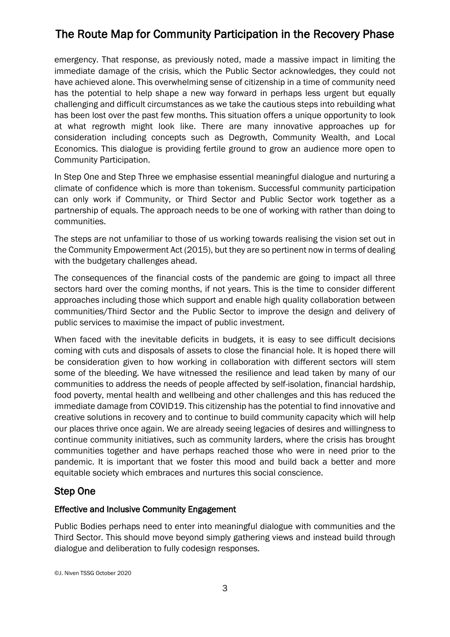emergency. That response, as previously noted, made a massive impact in limiting the immediate damage of the crisis, which the Public Sector acknowledges, they could not have achieved alone. This overwhelming sense of citizenship in a time of community need has the potential to help shape a new way forward in perhaps less urgent but equally challenging and difficult circumstances as we take the cautious steps into rebuilding what has been lost over the past few months. This situation offers a unique opportunity to look at what regrowth might look like. There are many innovative approaches up for consideration including concepts such as Degrowth, Community Wealth, and Local Economics. This dialogue is providing fertile ground to grow an audience more open to Community Participation.

In Step One and Step Three we emphasise essential meaningful dialogue and nurturing a climate of confidence which is more than tokenism. Successful community participation can only work if Community, or Third Sector and Public Sector work together as a partnership of equals. The approach needs to be one of working with rather than doing to communities.

The steps are not unfamiliar to those of us working towards realising the vision set out in the Community Empowerment Act (2015), but they are so pertinent now in terms of dealing with the budgetary challenges ahead.

The consequences of the financial costs of the pandemic are going to impact all three sectors hard over the coming months, if not years. This is the time to consider different approaches including those which support and enable high quality collaboration between communities/Third Sector and the Public Sector to improve the design and delivery of public services to maximise the impact of public investment.

When faced with the inevitable deficits in budgets, it is easy to see difficult decisions coming with cuts and disposals of assets to close the financial hole. It is hoped there will be consideration given to how working in collaboration with different sectors will stem some of the bleeding. We have witnessed the resilience and lead taken by many of our communities to address the needs of people affected by self-isolation, financial hardship, food poverty, mental health and wellbeing and other challenges and this has reduced the immediate damage from COVID19. This citizenship has the potential to find innovative and creative solutions in recovery and to continue to build community capacity which will help our places thrive once again. We are already seeing legacies of desires and willingness to continue community initiatives, such as community larders, where the crisis has brought communities together and have perhaps reached those who were in need prior to the pandemic. It is important that we foster this mood and build back a better and more equitable society which embraces and nurtures this social conscience.

### Step One

#### Effective and Inclusive Community Engagement

Public Bodies perhaps need to enter into meaningful dialogue with communities and the Third Sector. This should move beyond simply gathering views and instead build through dialogue and deliberation to fully codesign responses.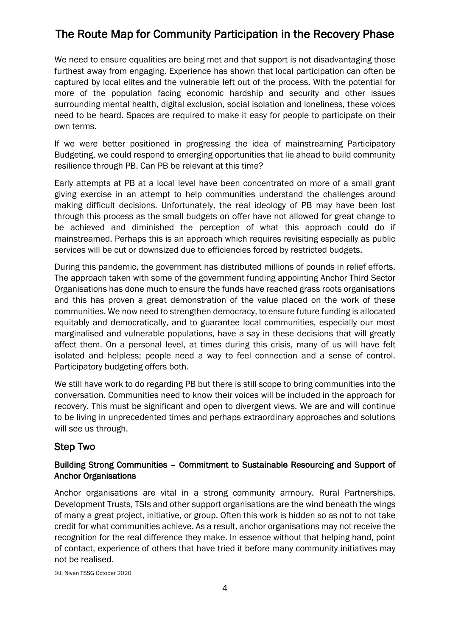We need to ensure equalities are being met and that support is not disadvantaging those furthest away from engaging. Experience has shown that local participation can often be captured by local elites and the vulnerable left out of the process. With the potential for more of the population facing economic hardship and security and other issues surrounding mental health, digital exclusion, social isolation and loneliness, these voices need to be heard. Spaces are required to make it easy for people to participate on their own terms.

If we were better positioned in progressing the idea of mainstreaming Participatory Budgeting, we could respond to emerging opportunities that lie ahead to build community resilience through PB. Can PB be relevant at this time?

Early attempts at PB at a local level have been concentrated on more of a small grant giving exercise in an attempt to help communities understand the challenges around making difficult decisions. Unfortunately, the real ideology of PB may have been lost through this process as the small budgets on offer have not allowed for great change to be achieved and diminished the perception of what this approach could do if mainstreamed. Perhaps this is an approach which requires revisiting especially as public services will be cut or downsized due to efficiencies forced by restricted budgets.

During this pandemic, the government has distributed millions of pounds in relief efforts. The approach taken with some of the government funding appointing Anchor Third Sector Organisations has done much to ensure the funds have reached grass roots organisations and this has proven a great demonstration of the value placed on the work of these communities. We now need to strengthen democracy, to ensure future funding is allocated equitably and democratically, and to guarantee local communities, especially our most marginalised and vulnerable populations, have a say in these decisions that will greatly affect them. On a personal level, at times during this crisis, many of us will have felt isolated and helpless; people need a way to feel connection and a sense of control. Participatory budgeting offers both.

We still have work to do regarding PB but there is still scope to bring communities into the conversation. Communities need to know their voices will be included in the approach for recovery. This must be significant and open to divergent views. We are and will continue to be living in unprecedented times and perhaps extraordinary approaches and solutions will see us through.

### Step Two

#### Building Strong Communities – Commitment to Sustainable Resourcing and Support of Anchor Organisations

Anchor organisations are vital in a strong community armoury. Rural Partnerships, Development Trusts, TSIs and other support organisations are the wind beneath the wings of many a great project, initiative, or group. Often this work is hidden so as not to not take credit for what communities achieve. As a result, anchor organisations may not receive the recognition for the real difference they make. In essence without that helping hand, point of contact, experience of others that have tried it before many community initiatives may not be realised.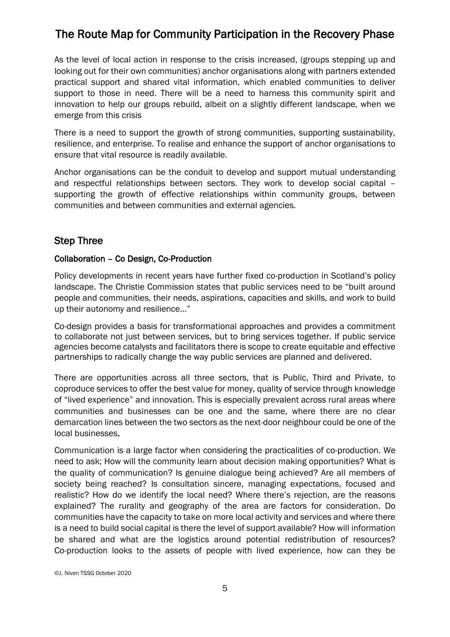As the level of local action in response to the crisis increased, (groups stepping up and looking out for their own communities) anchor organisations along with partners extended practical support and shared vital information, which enabled communities to deliver support to those in need. There will be a need to harness this community spirit and innovation to help our groups rebuild, albeit on a slightly different landscape, when we emerge from this crisis

There is a need to support the growth of strong communities, supporting sustainability, resilience, and enterprise. To realise and enhance the support of anchor organisations to ensure that vital resource is readily available.

Anchor organisations can be the conduit to develop and support mutual understanding and respectful relationships between sectors. They work to develop social capital – supporting the growth of effective relationships within community groups, between communities and between communities and external agencies.

### Step Three

#### Collaboration – Co Design, Co-Production

Policy developments in recent years have further fixed co-production in Scotland's policy landscape. The Christie Commission states that public services need to be "built around people and communities, their needs, aspirations, capacities and skills, and work to build up their autonomy and resilience..."

Co-design provides a basis for transformational approaches and provides a commitment to collaborate not just between services, but to bring services together. If public service agencies become catalysts and facilitators there is scope to create equitable and effective partnerships to radically change the way public services are planned and delivered.

There are opportunities across all three sectors, that is Public, Third and Private, to coproduce services to offer the best value for money, quality of service through knowledge of "lived experience" and innovation. This is especially prevalent across rural areas where communities and businesses can be one and the same, where there are no clear demarcation lines between the two sectors as the next-door neighbour could be one of the local businesses.

Communication is a large factor when considering the practicalities of co-production. We need to ask; How will the community learn about decision making opportunities? What is the quality of communication? Is genuine dialogue being achieved? Are all members of society being reached? Is consultation sincere, managing expectations, focused and realistic? How do we identify the local need? Where there's rejection, are the reasons explained? The rurality and geography of the area are factors for consideration. Do communities have the capacity to take on more local activity and services and where there is a need to build social capital is there the level of support available? How will information be shared and what are the logistics around potential redistribution of resources? Co-production looks to the assets of people with lived experience, how can they be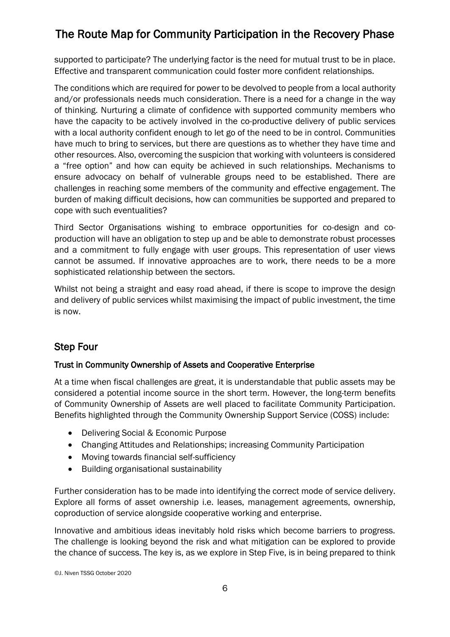supported to participate? The underlying factor is the need for mutual trust to be in place. Effective and transparent communication could foster more confident relationships.

The conditions which are required for power to be devolved to people from a local authority and/or professionals needs much consideration. There is a need for a change in the way of thinking. Nurturing a climate of confidence with supported community members who have the capacity to be actively involved in the co-productive delivery of public services with a local authority confident enough to let go of the need to be in control. Communities have much to bring to services, but there are questions as to whether they have time and other resources. Also, overcoming the suspicion that working with volunteers is considered a "free option" and how can equity be achieved in such relationships. Mechanisms to ensure advocacy on behalf of vulnerable groups need to be established. There are challenges in reaching some members of the community and effective engagement. The burden of making difficult decisions, how can communities be supported and prepared to cope with such eventualities?

Third Sector Organisations wishing to embrace opportunities for co-design and coproduction will have an obligation to step up and be able to demonstrate robust processes and a commitment to fully engage with user groups. This representation of user views cannot be assumed. If innovative approaches are to work, there needs to be a more sophisticated relationship between the sectors.

Whilst not being a straight and easy road ahead, if there is scope to improve the design and delivery of public services whilst maximising the impact of public investment, the time is now.

## Step Four

#### Trust in Community Ownership of Assets and Cooperative Enterprise

At a time when fiscal challenges are great, it is understandable that public assets may be considered a potential income source in the short term. However, the long-term benefits of Community Ownership of Assets are well placed to facilitate Community Participation. Benefits highlighted through the Community Ownership Support Service (COSS) include:

- Delivering Social & Economic Purpose
- Changing Attitudes and Relationships; increasing Community Participation
- Moving towards financial self-sufficiency
- Building organisational sustainability

Further consideration has to be made into identifying the correct mode of service delivery. Explore all forms of asset ownership i.e. leases, management agreements, ownership, coproduction of service alongside cooperative working and enterprise.

Innovative and ambitious ideas inevitably hold risks which become barriers to progress. The challenge is looking beyond the risk and what mitigation can be explored to provide the chance of success. The key is, as we explore in Step Five, is in being prepared to think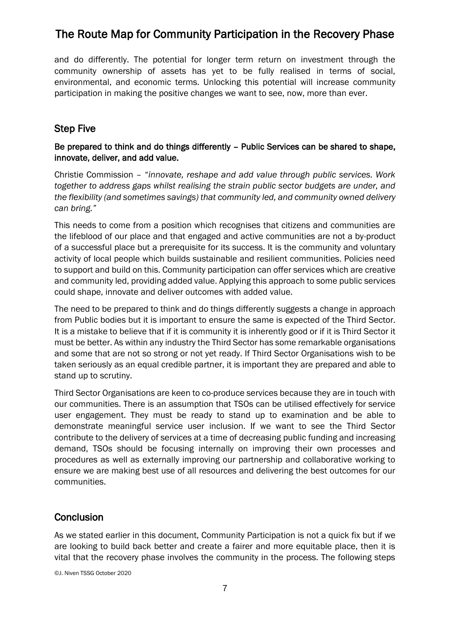and do differently. The potential for longer term return on investment through the community ownership of assets has yet to be fully realised in terms of social, environmental, and economic terms. Unlocking this potential will increase community participation in making the positive changes we want to see, now, more than ever.

### Step Five

#### Be prepared to think and do things differently – Public Services can be shared to shape, innovate, deliver, and add value.

Christie Commission – "*innovate, reshape and add value through public services. Work together to address gaps whilst realising the strain public sector budgets are under, and the flexibility (and sometimes savings) that community led, and community owned delivery can bring."*

This needs to come from a position which recognises that citizens and communities are the lifeblood of our place and that engaged and active communities are not a by-product of a successful place but a prerequisite for its success. It is the community and voluntary activity of local people which builds sustainable and resilient communities. Policies need to support and build on this. Community participation can offer services which are creative and community led, providing added value. Applying this approach to some public services could shape, innovate and deliver outcomes with added value.

The need to be prepared to think and do things differently suggests a change in approach from Public bodies but it is important to ensure the same is expected of the Third Sector. It is a mistake to believe that if it is community it is inherently good or if it is Third Sector it must be better. As within any industry the Third Sector has some remarkable organisations and some that are not so strong or not yet ready. If Third Sector Organisations wish to be taken seriously as an equal credible partner, it is important they are prepared and able to stand up to scrutiny.

Third Sector Organisations are keen to co-produce services because they are in touch with our communities. There is an assumption that TSOs can be utilised effectively for service user engagement. They must be ready to stand up to examination and be able to demonstrate meaningful service user inclusion. If we want to see the Third Sector contribute to the delivery of services at a time of decreasing public funding and increasing demand, TSOs should be focusing internally on improving their own processes and procedures as well as externally improving our partnership and collaborative working to ensure we are making best use of all resources and delivering the best outcomes for our communities.

## **Conclusion**

As we stated earlier in this document, Community Participation is not a quick fix but if we are looking to build back better and create a fairer and more equitable place, then it is vital that the recovery phase involves the community in the process. The following steps